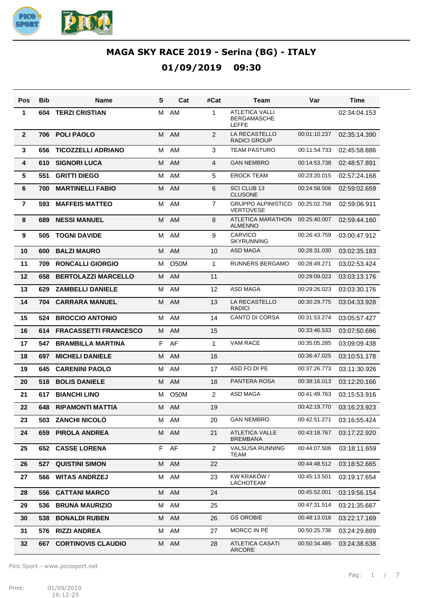

| Pos            | <b>Bib</b> | Name                         | S  | Cat               | #Cat           | Team                                                        | Var          | Time         |
|----------------|------------|------------------------------|----|-------------------|----------------|-------------------------------------------------------------|--------------|--------------|
| 1              | 604        | <b>TERZI CRISTIAN</b>        | м  | AM                | 1              | <b>ATLETICA VALLI</b><br><b>BERGAMASCHE</b><br><b>LEFFE</b> |              | 02:34:04.153 |
| $\overline{2}$ | 706        | <b>POLI PAOLO</b>            | М  | AM                | 2              | <b>LA RECASTELLO</b><br><b>RADICI GROUP</b>                 | 00:01:10.237 | 02:35:14.390 |
| 3              | 656        | <b>TICOZZELLI ADRIANO</b>    | м  | AM                | 3              | <b>TEAM PASTURO</b>                                         | 00:11:54.733 | 02:45:58.886 |
| 4              | 610        | <b>SIGNORI LUCA</b>          | м  | AM                | 4              | <b>GAN NEMBRO</b>                                           | 00:14:53.738 | 02:48:57.891 |
| 5              | 551        | <b>GRITTI DIEGO</b>          | м  | AM                | 5              | <b>EROCK TEAM</b>                                           | 00:23:20.015 | 02:57:24.168 |
| 6              | 700        | <b>MARTINELLI FABIO</b>      | M  | AM                | 6              | <b>SCI CLUB 13</b><br><b>CLUSONE</b>                        | 00:24:58.506 | 02:59:02.659 |
| $\overline{7}$ | 593        | <b>MAFFEIS MATTEO</b>        | М  | AM                | $\overline{7}$ | <b>GRUPPO ALPINISTICO</b><br><b>VERTOVESE</b>               | 00:25:02.758 | 02:59:06.911 |
| 8              | 689        | <b>NESSI MANUEL</b>          | м  | AM                | 8              | ATLETICA MARATHON<br><b>ALMENNO</b>                         | 00:25:40.007 | 02:59:44.160 |
| 9              | 505        | <b>TOGNI DAVIDE</b>          | м  | AM                | 9              | <b>CARVICO</b><br><b>SKYRUNNING</b>                         | 00:26:43.759 | 03:00:47.912 |
| 10             | 600        | <b>BALZI MAURO</b>           | м  | AM                | 10             | <b>ASD MAGA</b>                                             | 00:28:31.030 | 03:02:35.183 |
| 11             | 709        | <b>RONCALLI GIORGIO</b>      | М  | O <sub>5</sub> 0M | 1              | <b>RUNNERS BERGAMO</b>                                      | 00:28:49.271 | 03:02:53.424 |
| 12             | 658        | <b>BERTOLAZZI MARCELLO</b>   | м  | AM                | 11             |                                                             | 00:29:09.023 | 03:03:13.176 |
| 13             | 629        | <b>ZAMBELLI DANIELE</b>      | м  | AM                | 12             | <b>ASD MAGA</b>                                             | 00:29:26.023 | 03:03:30.176 |
| 14             | 704        | <b>CARRARA MANUEL</b>        | м  | AM                | 13             | LA RECASTELLO<br><b>RADICI</b>                              | 00:30:29.775 | 03:04:33.928 |
| 15             | 524        | <b>BROCCIO ANTONIO</b>       | М  | AM                | 14             | <b>CANTO DI CORSA</b>                                       | 00:31:53.274 | 03:05:57.427 |
| 16             | 614        | <b>FRACASSETTI FRANCESCO</b> | м  | AM                | 15             |                                                             | 00:33:46.533 | 03:07:50.686 |
| 17             | 547        | <b>BRAMBILLA MARTINA</b>     | F. | AF                | 1              | <b>VAM RACE</b>                                             | 00:35:05.285 | 03:09:09.438 |
| 18             | 697        | <b>MICHELI DANIELE</b>       | м  | AM                | 16             |                                                             | 00:36:47.025 | 03:10:51.178 |
| 19             | 645        | <b>CARENINI PAOLO</b>        | м  | AM                | 17             | ASD FO DI PE                                                | 00:37:26.773 | 03:11:30.926 |
| 20             | 518        | <b>BOLIS DANIELE</b>         | м  | AM                | 18             | PANTERA ROSA                                                | 00:38:16.013 | 03:12:20.166 |
| 21             | 617        | <b>BIANCHI LINO</b>          | М  | O <sub>50</sub> M | 2              | <b>ASD MAGA</b>                                             | 00:41:49.763 | 03:15:53.916 |
| 22             | 648        | <b>RIPAMONTI MATTIA</b>      |    | M AM              | 19             |                                                             | 00:42:19.770 | 03:16:23.923 |
| 23             | 503        | <b>ZANCHI NICOLÓ</b>         |    | M AM              | 20             | <b>GAN NEMBRO</b>                                           | 00:42:51.271 | 03:16:55.424 |
| 24             | 659        | <b>PIROLA ANDREA</b>         | M  | AM                | 21             | <b>ATLETICA VALLE</b><br><b>BREMBANA</b>                    | 00:43:18.767 | 03:17:22.920 |
| 25             | 652        | <b>CASSE LORENA</b>          |    | F AF              | $\overline{c}$ | <b>VALSUSA RUNNING</b><br>TEAM                              | 00:44:07.506 | 03:18:11.659 |
| 26             | 527        | <b>QUISTINI SIMON</b>        | M  | AM                | 22             |                                                             | 00:44:48.512 | 03:18:52.665 |
| 27             | 566        | <b>WITAS ANDRZEJ</b>         | м  | AM                | 23             | KW KRAKÓW /<br>LACHOTEAM                                    | 00:45:13.501 | 03:19:17.654 |
| 28             | 556        | <b>CATTANI MARCO</b>         | M  | AM                | 24             |                                                             | 00:45:52.001 | 03:19:56.154 |
| 29             | 536        | <b>BRUNA MAURIZIO</b>        | м  | AM                | 25             |                                                             | 00:47:31.514 | 03:21:35.667 |
| 30             | 538        | <b>BONALDI RUBEN</b>         | М  | AM                | 26             | <b>GS OROBIE</b>                                            | 00:48:13.016 | 03:22:17.169 |
| 31             | 576        | <b>RIZZI ANDREA</b>          | м  | AM                | 27             | MORCC IN PÉ                                                 | 00:50:25.736 | 03:24:29.889 |
| 32             | 667        | <b>CORTINOVIS CLAUDIO</b>    | М  | AM                | 28             | <b>ATLETICA CASATI</b><br>ARCORE                            | 00:50:34.485 | 03:24:38.638 |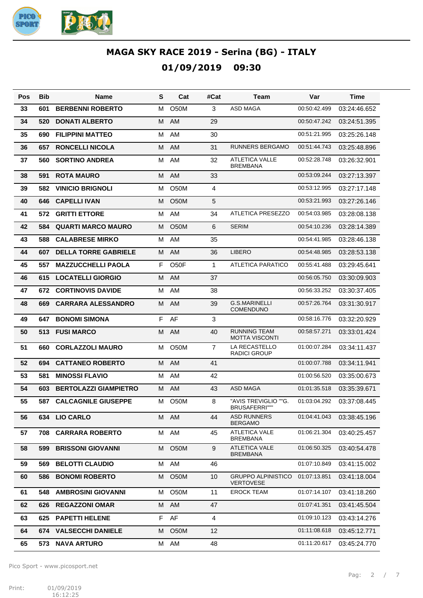

| Pos | Bib | Name                         | S  | Cat               | #Cat           | Team                                          | Var          | Time         |
|-----|-----|------------------------------|----|-------------------|----------------|-----------------------------------------------|--------------|--------------|
| 33  | 601 | <b>BERBENNI ROBERTO</b>      | м  | O <sub>5</sub> 0M | 3              | <b>ASD MAGA</b>                               | 00:50:42.499 | 03:24:46.652 |
| 34  | 520 | <b>DONATI ALBERTO</b>        | м  | AM                | 29             |                                               | 00:50:47.242 | 03:24:51.395 |
| 35  | 690 | <b>FILIPPINI MATTEO</b>      | м  | AM                | 30             |                                               | 00:51:21.995 | 03:25:26.148 |
| 36  | 657 | <b>RONCELLI NICOLA</b>       | м  | AM                | 31             | RUNNERS BERGAMO                               | 00:51:44.743 | 03:25:48.896 |
| 37  | 560 | <b>SORTINO ANDREA</b>        | м  | AM                | 32             | <b>ATLETICA VALLE</b><br><b>BREMBANA</b>      | 00:52:28.748 | 03:26:32.901 |
| 38  | 591 | <b>ROTA MAURO</b>            | M  | AM                | 33             |                                               | 00:53:09.244 | 03:27:13.397 |
| 39  | 582 | <b>VINICIO BRIGNOLI</b>      | м  | O <sub>5</sub> 0M | $\overline{4}$ |                                               | 00:53:12.995 | 03:27:17.148 |
| 40  | 646 | <b>CAPELLI IVAN</b>          | м  | <b>O50M</b>       | 5              |                                               | 00:53:21.993 | 03:27:26.146 |
| 41  | 572 | <b>GRITTI ETTORE</b>         | M  | AM                | 34             | <b>ATLETICA PRESEZZO</b>                      | 00:54:03.985 | 03:28:08.138 |
| 42  | 584 | <b>QUARTI MARCO MAURO</b>    | м  | <b>O50M</b>       | 6              | <b>SERIM</b>                                  | 00:54:10.236 | 03:28:14.389 |
| 43  | 588 | <b>CALABRESE MIRKO</b>       | M  | AM                | 35             |                                               | 00:54:41.985 | 03:28:46.138 |
| 44  | 607 | <b>DELLA TORRE GABRIELE</b>  | M  | AM                | 36             | <b>LIBERO</b>                                 | 00:54:48.985 | 03:28:53.138 |
| 45  | 557 | <b>MAZZUCCHELLI PAOLA</b>    | F. | O <sub>5</sub> OF | $\mathbf{1}$   | <b>ATLETICA PARATICO</b>                      | 00:55:41.488 | 03:29:45.641 |
| 46  | 615 | <b>LOCATELLI GIORGIO</b>     | м  | AM                | 37             |                                               | 00:56:05.750 | 03:30:09.903 |
| 47  | 672 | <b>CORTINOVIS DAVIDE</b>     | м  | AM                | 38             |                                               | 00:56:33.252 | 03:30:37.405 |
| 48  | 669 | <b>CARRARA ALESSANDRO</b>    | M  | AM                | 39             | <b>G.S.MARINELLI</b><br><b>COMENDUNO</b>      | 00:57:26.764 | 03:31:30.917 |
| 49  | 647 | <b>BONOMI SIMONA</b>         | F  | AF                | 3              |                                               | 00:58:16.776 | 03:32:20.929 |
| 50  | 513 | <b>FUSI MARCO</b>            | M  | AM                | 40             | <b>RUNNING TEAM</b><br><b>MOTTA VISCONTI</b>  | 00:58:57.271 | 03:33:01.424 |
| 51  | 660 | <b>CORLAZZOLI MAURO</b>      | м  | <b>O50M</b>       | $\overline{7}$ | LA RECASTELLO<br><b>RADICI GROUP</b>          | 01:00:07.284 | 03:34:11.437 |
| 52  | 694 | <b>CATTANEO ROBERTO</b>      | м  | AM                | 41             |                                               | 01:00:07.788 | 03:34:11.941 |
| 53  | 581 | <b>MINOSSI FLAVIO</b>        | м  | AM                | 42             |                                               | 01:00:56.520 | 03:35:00.673 |
| 54  | 603 | <b>BERTOLAZZI GIAMPIETRO</b> | М  | AM                | 43             | <b>ASD MAGA</b>                               | 01:01:35.518 | 03:35:39.671 |
| 55  | 587 | <b>CALCAGNILE GIUSEPPE</b>   | м  | O <sub>5</sub> 0M | 8              | "AVIS TREVIGLIO ""G.<br><b>BRUSAFERRI""</b>   | 01:03:04.292 | 03:37:08.445 |
| 56  | 634 | <b>LIO CARLO</b>             |    | M AM              | 44             | <b>ASD RUNNERS</b><br>BERGAMO                 | 01:04:41.043 | 03:38:45.196 |
| 57  | 708 | <b>CARRARA ROBERTO</b>       | M  | AM                | 45             | <b>ATLETICA VALE</b><br><b>BREMBANA</b>       | 01:06:21.304 | 03:40:25.457 |
| 58  | 599 | <b>BRISSONI GIOVANNI</b>     | м  | O <sub>5</sub> 0M | 9              | <b>ATLETICA VALE</b><br><b>BREMBANA</b>       | 01:06:50.325 | 03:40:54.478 |
| 59  | 569 | <b>BELOTTI CLAUDIO</b>       | М  | AM                | 46             |                                               | 01:07:10.849 | 03:41:15.002 |
| 60  | 586 | <b>BONOMI ROBERTO</b>        | М  | O50M              | 10             | <b>GRUPPO ALPINISTICO</b><br><b>VERTOVESE</b> | 01:07:13.851 | 03:41:18.004 |
| 61  | 548 | <b>AMBROSINI GIOVANNI</b>    | м  | <b>O50M</b>       | 11             | <b>EROCK TEAM</b>                             | 01:07:14.107 | 03:41:18.260 |
| 62  | 626 | <b>REGAZZONI OMAR</b>        | M  | AM                | 47             |                                               | 01:07:41.351 | 03:41:45.504 |
| 63  | 625 | <b>PAPETTI HELENE</b>        | F  | AF                | 4              |                                               | 01:09:10.123 | 03:43:14.276 |
| 64  | 674 | <b>VALSECCHI DANIELE</b>     | м  | O <sub>5</sub> 0M | 12             |                                               | 01:11:08.618 | 03:45:12.771 |
| 65  | 573 | <b>NAVA ARTURO</b>           | M  | AM                | 48             |                                               | 01:11:20.617 | 03:45:24.770 |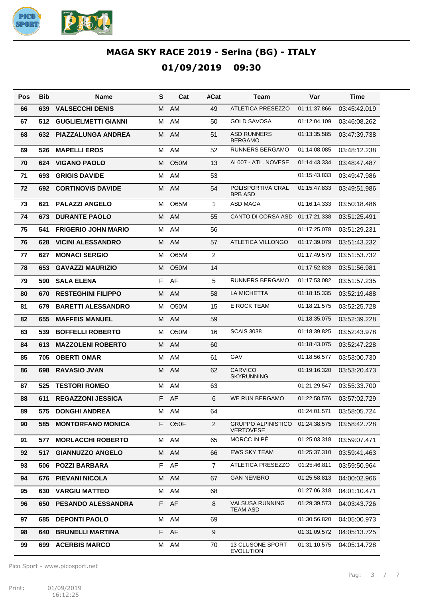

| Pos | <b>Bib</b> | <b>Name</b>                | S  | Cat               | #Cat             | Team                                          | Var          | Time         |
|-----|------------|----------------------------|----|-------------------|------------------|-----------------------------------------------|--------------|--------------|
| 66  | 639        | <b>VALSECCHI DENIS</b>     | M  | AM                | 49               | <b>ATLETICA PRESEZZO</b>                      | 01:11:37.866 | 03:45:42.019 |
| 67  | 512        | <b>GUGLIELMETTI GIANNI</b> | M  | AM                | 50               | <b>GOLD SAVOSA</b>                            | 01:12:04.109 | 03:46:08.262 |
| 68  | 632        | <b>PIAZZALUNGA ANDREA</b>  | М  | <b>AM</b>         | 51               | <b>ASD RUNNERS</b><br><b>BERGAMO</b>          | 01:13:35.585 | 03:47:39.738 |
| 69  | 526        | <b>MAPELLI EROS</b>        | м  | AM                | 52               | RUNNERS BERGAMO                               | 01:14:08.085 | 03:48:12.238 |
| 70  | 624        | <b>VIGANO PAOLO</b>        | м  | <b>O50M</b>       | 13               | AL007 - ATL. NOVESE                           | 01:14:43.334 | 03:48:47.487 |
| 71  | 693        | <b>GRIGIS DAVIDE</b>       | м  | AM                | 53               |                                               | 01:15:43.833 | 03:49:47.986 |
| 72  | 692        | <b>CORTINOVIS DAVIDE</b>   | М  | <b>AM</b>         | 54               | POLISPORTIVA CRAL<br><b>BPB ASD</b>           | 01:15:47.833 | 03:49:51.986 |
| 73  | 621        | <b>PALAZZI ANGELO</b>      | м  | O65M              | $\mathbf{1}$     | ASD MAGA                                      | 01:16:14.333 | 03:50:18.486 |
| 74  | 673        | <b>DURANTE PAOLO</b>       | M  | AM                | 55               | CANTO DI CORSA ASD                            | 01:17:21.338 | 03:51:25.491 |
| 75  | 541        | <b>FRIGERIO JOHN MARIO</b> | м  | AM                | 56               |                                               | 01:17:25.078 | 03:51:29.231 |
| 76  | 628        | <b>VICINI ALESSANDRO</b>   | м  | AM                | 57               | <b>ATLETICA VILLONGO</b>                      | 01:17:39.079 | 03:51:43.232 |
| 77  | 627        | <b>MONACI SERGIO</b>       | м  | O65M              | $\overline{2}$   |                                               | 01:17:49.579 | 03:51:53.732 |
| 78  | 653        | <b>GAVAZZI MAURIZIO</b>    | м  | <b>O50M</b>       | 14               |                                               | 01:17:52.828 | 03:51:56.981 |
| 79  | 590        | <b>SALA ELENA</b>          | F  | AF                | 5                | <b>RUNNERS BERGAMO</b>                        | 01:17:53.082 | 03:51:57.235 |
| 80  | 670        | <b>RESTEGHINI FILIPPO</b>  | м  | AM                | 58               | <b>LA MICHETTA</b>                            | 01:18:15.335 | 03:52:19.488 |
| 81  | 679        | <b>BARETTI ALESSANDRO</b>  | м  | O <sub>5</sub> 0M | 15               | E ROCK TEAM                                   | 01:18:21.575 | 03:52:25.728 |
| 82  | 655        | <b>MAFFEIS MANUEL</b>      | м  | AM                | 59               |                                               | 01:18:35.075 | 03:52:39.228 |
| 83  | 539        | <b>BOFFELLI ROBERTO</b>    | м  | O <sub>5</sub> 0M | 16               | <b>SCAIS 3038</b>                             | 01:18:39.825 | 03:52:43.978 |
| 84  | 613        | <b>MAZZOLENI ROBERTO</b>   | M  | AM                | 60               |                                               | 01:18:43.075 | 03:52:47.228 |
| 85  | 705        | <b>OBERTI OMAR</b>         | м  | AM                | 61               | GAV                                           | 01:18:56.577 | 03:53:00.730 |
| 86  | 698        | <b>RAVASIO JVAN</b>        | M  | AM                | 62               | <b>CARVICO</b><br><b>SKYRUNNING</b>           | 01:19:16.320 | 03:53:20.473 |
| 87  | 525        | <b>TESTORI ROMEO</b>       | м  | AM                | 63               |                                               | 01:21:29.547 | 03:55:33.700 |
| 88  | 611        | <b>REGAZZONI JESSICA</b>   | F  | AF                | 6                | <b>WE RUN BERGAMO</b>                         | 01:22:58.576 | 03:57:02.729 |
| 89  | 575        | <b>DONGHI ANDREA</b>       |    | M AM              | 64               |                                               | 01:24:01.571 | 03:58:05.724 |
| 90  | 585        | <b>MONTORFANO MONICA</b>   | F. | O <sub>5</sub> OF | $\overline{2}$   | <b>GRUPPO ALPINISTICO</b><br><b>VERTOVESE</b> | 01:24:38.575 | 03:58:42.728 |
| 91  | 577        | <b>MORLACCHI ROBERTO</b>   | м  | AM                | 65               | MORCC IN PÉ                                   | 01:25:03.318 | 03:59:07.471 |
| 92  | 517        | <b>GIANNUZZO ANGELO</b>    | м  | AM                | 66               | <b>EWS SKY TEAM</b>                           | 01:25:37.310 | 03:59:41.463 |
| 93  | 506        | <b>POZZI BARBARA</b>       | F  | AF                | 7                | <b>ATLETICA PRESEZZO</b>                      | 01:25:46.811 | 03:59:50.964 |
| 94  | 676        | <b>PIEVANI NICOLA</b>      | М  | AM                | 67               | <b>GAN NEMBRO</b>                             | 01:25:58.813 | 04:00:02.966 |
| 95  | 630        | <b>VARGIU MATTEO</b>       | М  | AM                | 68               |                                               | 01:27:06.318 | 04:01:10.471 |
| 96  | 650        | <b>PESANDO ALESSANDRA</b>  | F. | AF                | 8                | <b>VALSUSA RUNNING</b><br>TEAM ASD            | 01:29:39.573 | 04:03:43.726 |
| 97  | 685        | <b>DEPONTI PAOLO</b>       | м  | AM                | 69               |                                               | 01:30:56.820 | 04:05:00.973 |
| 98  | 640        | <b>BRUNELLI MARTINA</b>    | F. | AF                | $\boldsymbol{9}$ |                                               | 01:31:09.572 | 04:05:13.725 |
| 99  | 699        | <b>ACERBIS MARCO</b>       | м  | AM                | 70               | 13 CLUSONE SPORT<br><b>EVOLUTION</b>          | 01:31:10.575 | 04:05:14.728 |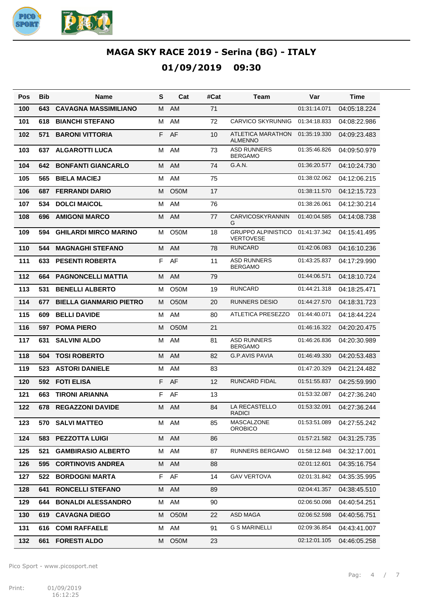

| Pos | <b>Bib</b> | Name                           | s  | Cat               | #Cat | Team                                          | Var          | Time         |
|-----|------------|--------------------------------|----|-------------------|------|-----------------------------------------------|--------------|--------------|
| 100 | 643        | <b>CAVAGNA MASSIMILIANO</b>    | м  | AM                | 71   |                                               | 01:31:14.071 | 04:05:18.224 |
| 101 | 618        | <b>BIANCHI STEFANO</b>         | м  | AM                | 72   | <b>CARVICO SKYRUNNIG</b>                      | 01:34:18.833 | 04:08:22.986 |
| 102 | 571        | <b>BARONI VITTORIA</b>         | F. | AF                | 10   | ATLETICA MARATHON<br><b>ALMENNO</b>           | 01:35:19.330 | 04:09:23.483 |
| 103 | 637        | <b>ALGAROTTI LUCA</b>          | м  | AM                | 73   | <b>ASD RUNNERS</b><br><b>BERGAMO</b>          | 01:35:46.826 | 04:09:50.979 |
| 104 | 642        | <b>BONFANTI GIANCARLO</b>      | M  | AM                | 74   | G.A.N.                                        | 01:36:20.577 | 04:10:24.730 |
| 105 | 565        | <b>BIELA MACIEJ</b>            | м  | AM                | 75   |                                               | 01:38:02.062 | 04:12:06.215 |
| 106 | 687        | <b>FERRANDI DARIO</b>          | M  | <b>O50M</b>       | 17   |                                               | 01:38:11.570 | 04:12:15.723 |
| 107 | 534        | <b>DOLCI MAICOL</b>            | м  | AM                | 76   |                                               | 01:38:26.061 | 04:12:30.214 |
| 108 | 696        | <b>AMIGONI MARCO</b>           | М  | AM                | 77   | <b>CARVICOSKYRANNIN</b><br>G                  | 01:40:04.585 | 04:14:08.738 |
| 109 | 594        | <b>GHILARDI MIRCO MARINO</b>   | м  | O <sub>5</sub> 0M | 18   | <b>GRUPPO ALPINISTICO</b><br><b>VERTOVESE</b> | 01:41:37.342 | 04:15:41.495 |
| 110 | 544        | <b>MAGNAGHI STEFANO</b>        | M  | AM                | 78   | <b>RUNCARD</b>                                | 01:42:06.083 | 04:16:10.236 |
| 111 | 633        | <b>PESENTI ROBERTA</b>         | F. | AF                | 11   | <b>ASD RUNNERS</b><br><b>BERGAMO</b>          | 01:43:25.837 | 04:17:29.990 |
| 112 | 664        | <b>PAGNONCELLI MATTIA</b>      | M  | <b>AM</b>         | 79   |                                               | 01:44:06.571 | 04:18:10.724 |
| 113 | 531        | <b>BENELLI ALBERTO</b>         | м  | O <sub>5</sub> 0M | 19   | <b>RUNCARD</b>                                | 01:44:21.318 | 04:18:25.471 |
| 114 | 677        | <b>BIELLA GIANMARIO PIETRO</b> | M  | <b>O50M</b>       | 20   | RUNNERS DESIO                                 | 01:44:27.570 | 04:18:31.723 |
| 115 | 609        | <b>BELLI DAVIDE</b>            | м  | AM                | 80   | ATLETICA PRESEZZO                             | 01:44:40.071 | 04:18:44.224 |
| 116 | 597        | <b>POMA PIERO</b>              | м  | <b>O50M</b>       | 21   |                                               | 01:46:16.322 | 04:20:20.475 |
| 117 | 631        | <b>SALVINI ALDO</b>            | м  | AM                | 81   | <b>ASD RUNNERS</b><br><b>BERGAMO</b>          | 01:46:26.836 | 04:20:30.989 |
| 118 | 504        | <b>TOSI ROBERTO</b>            | M  | AM                | 82   | G.P.AVIS PAVIA                                | 01:46:49.330 | 04:20:53.483 |
| 119 | 523        | <b>ASTORI DANIELE</b>          | м  | AM                | 83   |                                               | 01:47:20.329 | 04:21:24.482 |
| 120 | 592        | <b>FOTI ELISA</b>              | F. | AF                | 12   | RUNCARD FIDAL                                 | 01:51:55.837 | 04:25:59.990 |
| 121 | 663        | <b>TIRONI ARIANNA</b>          | F  | AF                | 13   |                                               | 01:53:32.087 | 04:27:36.240 |
| 122 | 678        | <b>REGAZZONI DAVIDE</b>        | M  | AM                | 84   | LA RECASTELLO<br><b>RADICI</b>                | 01:53:32.091 | 04:27:36.244 |
| 123 | 570        | <b>SALVI MATTEO</b>            |    | M AM              | 85   | MASCALZONE<br><b>OROBICO</b>                  | 01:53:51.089 | 04:27:55.242 |
| 124 | 583        | <b>PEZZOTTA LUIGI</b>          |    | M AM              | 86   |                                               | 01:57:21.582 | 04:31:25.735 |
| 125 | 521        | <b>GAMBIRASIO ALBERTO</b>      |    | M AM              | 87   | RUNNERS BERGAMO                               | 01:58:12.848 | 04:32:17.001 |
| 126 | 595        | <b>CORTINOVIS ANDREA</b>       |    | M AM              | 88   |                                               | 02:01:12.601 | 04:35:16.754 |
| 127 | 522        | <b>BORDOGNI MARTA</b>          |    | F AF              | 14   | <b>GAV VERTOVA</b>                            | 02:01:31.842 | 04:35:35.995 |
| 128 | 641        | <b>RONCELLI STEFANO</b>        |    | M AM              | 89   |                                               | 02:04:41.357 | 04:38:45.510 |
| 129 | 644        | <b>BONALDI ALESSANDRO</b>      | M  | AM                | 90   |                                               | 02:06:50.098 | 04:40:54.251 |
| 130 | 619.       | <b>CAVAGNA DIEGO</b>           | M  | O <sub>5</sub> 0M | 22   | ASD MAGA                                      | 02:06:52.598 | 04:40:56.751 |
| 131 |            | 616 COMI RAFFAELE              |    | M AM              | 91   | <b>G S MARINELLI</b>                          | 02:09:36.854 | 04:43:41.007 |
| 132 | 661        | <b>FORESTI ALDO</b>            | M  | O <sub>5</sub> 0M | 23   |                                               | 02:12:01.105 | 04:46:05.258 |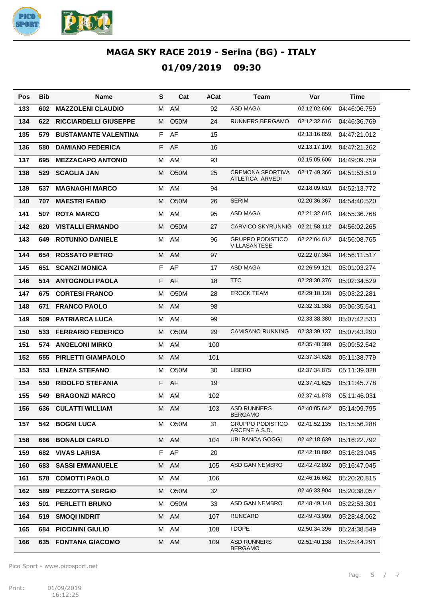

| Pos | <b>Bib</b> | <b>Name</b>                  | S  | Cat               | #Cat | Team                                           | Var          | Time         |
|-----|------------|------------------------------|----|-------------------|------|------------------------------------------------|--------------|--------------|
| 133 | 602        | <b>MAZZOLENI CLAUDIO</b>     | м  | AM                | 92   | ASD MAGA                                       | 02:12:02.606 | 04:46:06.759 |
| 134 | 622        | <b>RICCIARDELLI GIUSEPPE</b> | м  | O <sub>5</sub> 0M | 24   | <b>RUNNERS BERGAMO</b>                         | 02:12:32.616 | 04:46:36.769 |
| 135 | 579        | <b>BUSTAMANTE VALENTINA</b>  | F  | AF                | 15   |                                                | 02:13:16.859 | 04:47:21.012 |
| 136 | 580        | <b>DAMIANO FEDERICA</b>      | F  | AF                | 16   |                                                | 02:13:17.109 | 04:47:21.262 |
| 137 | 695        | <b>MEZZACAPO ANTONIO</b>     | м  | AM                | 93   |                                                | 02:15:05.606 | 04:49:09.759 |
| 138 | 529        | <b>SCAGLIA JAN</b>           | м  | O <sub>5</sub> 0M | 25   | <b>CREMONA SPORTIVA</b><br>ATLETICA ARVEDI     | 02:17:49.366 | 04:51:53.519 |
| 139 | 537        | <b>MAGNAGHI MARCO</b>        | м  | AM                | 94   |                                                | 02:18:09.619 | 04:52:13.772 |
| 140 | 707        | <b>MAESTRI FABIO</b>         | м  | O <sub>5</sub> 0M | 26   | <b>SERIM</b>                                   | 02:20:36.367 | 04:54:40.520 |
| 141 | 507        | <b>ROTA MARCO</b>            | м  | AM                | 95   | <b>ASD MAGA</b>                                | 02:21:32.615 | 04:55:36.768 |
| 142 | 620        | <b>VISTALLI ERMANDO</b>      | м  | <b>O50M</b>       | 27   | <b>CARVICO SKYRUNNIG</b>                       | 02:21:58.112 | 04:56:02.265 |
| 143 | 649        | <b>ROTUNNO DANIELE</b>       | м  | AM                | 96   | <b>GRUPPO PODISTICO</b><br><b>VILLASANTESE</b> | 02:22:04.612 | 04:56:08.765 |
| 144 | 654        | <b>ROSSATO PIETRO</b>        | м  | AM                | 97   |                                                | 02:22:07.364 | 04:56:11.517 |
| 145 | 651        | <b>SCANZI MONICA</b>         | F  | AF                | 17   | <b>ASD MAGA</b>                                | 02:26:59.121 | 05:01:03.274 |
| 146 | 514        | <b>ANTOGNOLI PAOLA</b>       | F  | AF                | 18   | <b>TTC</b>                                     | 02:28:30.376 | 05:02:34.529 |
| 147 | 675        | <b>CORTESI FRANCO</b>        | м  | O <sub>5</sub> 0M | 28   | <b>EROCK TEAM</b>                              | 02:29:18.128 | 05:03:22.281 |
| 148 | 671        | <b>FRANCO PAOLO</b>          | м  | AM                | 98   |                                                | 02:32:31.388 | 05:06:35.541 |
| 149 | 509        | <b>PATRIARCA LUCA</b>        | м  | AM                | 99   |                                                | 02:33:38.380 | 05:07:42.533 |
| 150 | 533        | <b>FERRARIO FEDERICO</b>     | м  | <b>O50M</b>       | 29   | <b>CAMISANO RUNNING</b>                        | 02:33:39.137 | 05:07:43.290 |
| 151 | 574        | <b>ANGELONI MIRKO</b>        | м  | AM                | 100  |                                                | 02:35:48.389 | 05:09:52.542 |
| 152 | 555        | <b>PIRLETTI GIAMPAOLO</b>    | м  | AM                | 101  |                                                | 02:37:34.626 | 05:11:38.779 |
| 153 | 553        | <b>LENZA STEFANO</b>         | м  | O <sub>5</sub> 0M | 30   | <b>LIBERO</b>                                  | 02:37:34.875 | 05:11:39.028 |
| 154 | 550        | <b>RIDOLFO STEFANIA</b>      | F  | AF                | 19   |                                                | 02:37:41.625 | 05:11:45.778 |
| 155 | 549        | <b>BRAGONZI MARCO</b>        | м  | AM                | 102  |                                                | 02:37:41.878 | 05:11:46.031 |
| 156 | 636        | <b>CULATTI WILLIAM</b>       |    | M AM              | 103  | <b>ASD RUNNERS</b><br><b>BERGAMO</b>           | 02:40:05.642 | 05:14:09.795 |
| 157 | 542        | <b>BOGNI LUCA</b>            | М  | O50M              | 31   | <b>GRUPPO PODISTICO</b><br>ARCENE A.S.D.       | 02:41:52.135 | 05:15:56.288 |
| 158 | 666        | <b>BONALDI CARLO</b>         |    | M AM              | 104  | <b>UBI BANCA GOGGI</b>                         | 02:42:18.639 | 05:16:22.792 |
| 159 | 682        | <b>VIVAS LARISA</b>          | F. | AF                | 20   |                                                | 02:42:18.892 | 05:16:23.045 |
| 160 | 683        | <b>SASSI EMMANUELE</b>       | м  | AM                | 105  | ASD GAN NEMBRO                                 | 02:42:42.892 | 05:16:47.045 |
| 161 | 578        | <b>COMOTTI PAOLO</b>         | м  | AM                | 106  |                                                | 02:46:16.662 | 05:20:20.815 |
| 162 | 589        | <b>PEZZOTTA SERGIO</b>       | м  | O <sub>5</sub> 0M | 32   |                                                | 02:46:33.904 | 05:20:38.057 |
| 163 | 501        | <b>PERLETTI BRUNO</b>        | м  | O50M              | 33   | ASD GAN NEMBRO                                 | 02:48:49.148 | 05:22:53.301 |
| 164 | 519        | <b>SMOQI INDRIT</b>          | м  | AM                | 107  | <b>RUNCARD</b>                                 | 02:49:43.909 | 05:23:48.062 |
| 165 | 684        | <b>PICCININI GIULIO</b>      | м  | AM                | 108  | I DOPE                                         | 02:50:34.396 | 05:24:38.549 |
| 166 | 635        | <b>FONTANA GIACOMO</b>       | М  | AM                | 109  | <b>ASD RUNNERS</b><br><b>BERGAMO</b>           | 02:51:40.138 | 05:25:44.291 |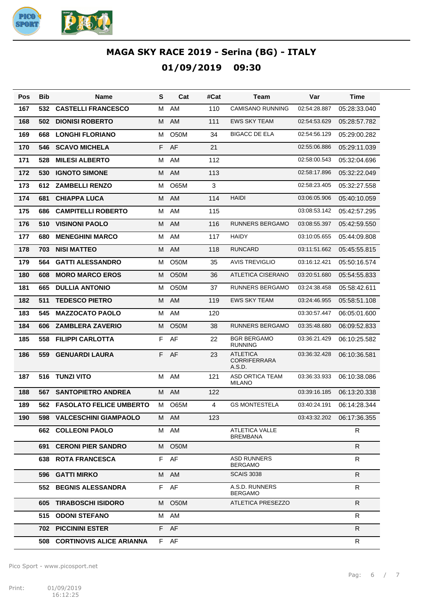

| Pos | <b>Bib</b> | <b>Name</b>                    | S  | Cat               | #Cat | Team                                             | Var          | Time         |
|-----|------------|--------------------------------|----|-------------------|------|--------------------------------------------------|--------------|--------------|
| 167 | 532        | <b>CASTELLI FRANCESCO</b>      | M  | AM                | 110  | <b>CAMISANO RUNNING</b>                          | 02:54:28.887 | 05:28:33.040 |
| 168 | 502        | <b>DIONISI ROBERTO</b>         | M  | AM                | 111  | <b>EWS SKY TEAM</b>                              | 02:54:53.629 | 05:28:57.782 |
| 169 | 668        | <b>LONGHI FLORIANO</b>         | м  | <b>O50M</b>       | 34   | <b>BIGACC DE ELA</b>                             | 02:54:56.129 | 05:29:00.282 |
| 170 | 546        | <b>SCAVO MICHELA</b>           | F  | AF                | 21   |                                                  | 02:55:06.886 | 05:29:11.039 |
| 171 | 528        | <b>MILESI ALBERTO</b>          | M  | AM                | 112  |                                                  | 02:58:00.543 | 05:32:04.696 |
| 172 | 530        | <b>IGNOTO SIMONE</b>           | M  | AM                | 113  |                                                  | 02:58:17.896 | 05:32:22.049 |
| 173 | 612        | <b>ZAMBELLI RENZO</b>          | м  | O65M              | 3    |                                                  | 02:58:23.405 | 05:32:27.558 |
| 174 | 681        | <b>CHIAPPA LUCA</b>            | M  | AM                | 114  | <b>HAIDI</b>                                     | 03:06:05.906 | 05:40:10.059 |
| 175 | 686        | <b>CAMPITELLI ROBERTO</b>      | M  | AM                | 115  |                                                  | 03:08:53.142 | 05:42:57.295 |
| 176 | 510        | <b>VISINONI PAOLO</b>          | M  | AM                | 116  | <b>RUNNERS BERGAMO</b>                           | 03:08:55.397 | 05:42:59.550 |
| 177 | 680        | <b>MENEGHINI MARCO</b>         | м  | AM                | 117  | <b>HAIDY</b>                                     | 03:10:05.655 | 05:44:09.808 |
| 178 | 703        | <b>NISI MATTEO</b>             | M  | AM                | 118  | <b>RUNCARD</b>                                   | 03:11:51.662 | 05:45:55.815 |
| 179 | 564        | <b>GATTI ALESSANDRO</b>        | м  | O <sub>5</sub> 0M | 35   | <b>AVIS TREVIGLIO</b>                            | 03:16:12.421 | 05:50:16.574 |
| 180 | 608        | <b>MORO MARCO EROS</b>         | М  | <b>O50M</b>       | 36   | ATLETICA CISERANO                                | 03:20:51.680 | 05:54:55.833 |
| 181 | 665        | <b>DULLIA ANTONIO</b>          | м  | O <sub>5</sub> 0M | 37   | <b>RUNNERS BERGAMO</b>                           | 03:24:38.458 | 05:58:42.611 |
| 182 | 511        | <b>TEDESCO PIETRO</b>          | M  | AM                | 119  | <b>EWS SKY TEAM</b>                              | 03:24:46.955 | 05:58:51.108 |
| 183 | 545        | <b>MAZZOCATO PAOLO</b>         | м  | AM                | 120  |                                                  | 03:30:57.447 | 06:05:01.600 |
| 184 | 606        | <b>ZAMBLERA ZAVERIO</b>        | М  | <b>O50M</b>       | 38   | <b>RUNNERS BERGAMO</b>                           | 03:35:48.680 | 06:09:52.833 |
| 185 | 558        | <b>FILIPPI CARLOTTA</b>        | F  | AF                | 22   | <b>BGR BERGAMO</b><br><b>RUNNING</b>             | 03:36:21.429 | 06:10:25.582 |
| 186 | 559        | <b>GENUARDI LAURA</b>          | F. | AF                | 23   | <b>ATLETICA</b><br><b>CORRIFERRARA</b><br>A.S.D. | 03:36:32.428 | 06:10:36.581 |
| 187 | 516        | <b>TUNZI VITO</b>              | M  | AM                | 121  | <b>ASD ORTICA TEAM</b><br><b>MILANO</b>          | 03:36:33.933 | 06:10:38.086 |
| 188 | 567        | <b>SANTOPIETRO ANDREA</b>      | м  | AM                | 122  |                                                  | 03:39:16.185 | 06:13:20.338 |
| 189 | 562        | <b>FASOLATO FELICE UMBERTO</b> | М  | <b>O65M</b>       | 4    | <b>GS MONTESTELA</b>                             | 03:40:24.191 | 06:14:28.344 |
| 190 |            | 598 VALCESCHINI GIAMPAOLO      |    | M AM              | 123  |                                                  | 03:43:32.202 | 06:17:36.355 |
|     |            | <b>662 COLLEONI PAOLO</b>      |    | M AM              |      | <b>ATLETICA VALLE</b><br>BREMBANA                |              | R            |
|     |            | 691 CERONI PIER SANDRO         |    | M O50M            |      |                                                  |              | R            |
|     |            | <b>638 ROTA FRANCESCA</b>      |    | F AF              |      | <b>ASD RUNNERS</b><br>BERGAMO                    |              | R.           |
|     |            | 596 GATTI MIRKO                |    | M AM              |      | <b>SCAIS 3038</b>                                |              | $\mathsf{R}$ |
|     |            | 552 BEGNIS ALESSANDRA          |    | F AF              |      | A.S.D. RUNNERS<br>BERGAMO                        |              | R            |
|     |            | 605 TIRABOSCHI ISIDORO         |    | M 050M            |      | ATLETICA PRESEZZO                                |              | R.           |
|     |            | 515 ODONI STEFANO              |    | M AM              |      |                                                  |              | R            |
|     |            | <b>702 PICCININI ESTER</b>     |    | F AF              |      |                                                  |              | R.           |
|     |            | 508 CORTINOVIS ALICE ARIANNA   |    | F AF              |      |                                                  |              | R            |